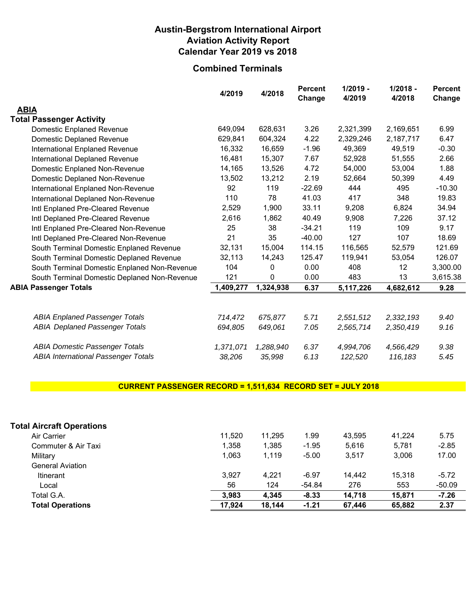## **Austin-Bergstrom International Airport Aviation Activity Report Calendar Year 2019 vs 2018**

## **Combined Terminals**

|                                              | 4/2019    | 4/2018    | <b>Percent</b><br>Change | $1/2019 -$<br>4/2019 | $1/2018 -$<br>4/2018 | <b>Percent</b><br>Change |
|----------------------------------------------|-----------|-----------|--------------------------|----------------------|----------------------|--------------------------|
| <b>ABIA</b>                                  |           |           |                          |                      |                      |                          |
| <b>Total Passenger Activity</b>              |           |           |                          |                      |                      |                          |
| <b>Domestic Enplaned Revenue</b>             | 649,094   | 628,631   | 3.26                     | 2,321,399            | 2,169,651            | 6.99                     |
| Domestic Deplaned Revenue                    | 629,841   | 604,324   | 4.22                     | 2,329,246            | 2,187,717            | 6.47                     |
| International Enplaned Revenue               | 16,332    | 16,659    | $-1.96$                  | 49,369               | 49,519               | $-0.30$                  |
| International Deplaned Revenue               | 16,481    | 15,307    | 7.67                     | 52,928               | 51,555               | 2.66                     |
| Domestic Enplaned Non-Revenue                | 14,165    | 13,526    | 4.72                     | 54,000               | 53,004               | 1.88                     |
| Domestic Deplaned Non-Revenue                | 13,502    | 13,212    | 2.19                     | 52,664               | 50,399               | 4.49                     |
| International Enplaned Non-Revenue           | 92        | 119       | $-22.69$                 | 444                  | 495                  | $-10.30$                 |
| International Deplaned Non-Revenue           | 110       | 78        | 41.03                    | 417                  | 348                  | 19.83                    |
| Intl Enplaned Pre-Cleared Revenue            | 2,529     | 1,900     | 33.11                    | 9,208                | 6,824                | 34.94                    |
| Intl Deplaned Pre-Cleared Revenue            | 2,616     | 1,862     | 40.49                    | 9,908                | 7,226                | 37.12                    |
| Intl Enplaned Pre-Cleared Non-Revenue        | 25        | 38        | $-34.21$                 | 119                  | 109                  | 9.17                     |
| Intl Deplaned Pre-Cleared Non-Revenue        | 21        | 35        | $-40.00$                 | 127                  | 107                  | 18.69                    |
| South Terminal Domestic Enplaned Revenue     | 32,131    | 15,004    | 114.15                   | 116,565              | 52,579               | 121.69                   |
| South Terminal Domestic Deplaned Revenue     | 32,113    | 14,243    | 125.47                   | 119,941              | 53,054               | 126.07                   |
| South Terminal Domestic Enplaned Non-Revenue | 104       | 0         | 0.00                     | 408                  | 12                   | 3,300.00                 |
| South Terminal Domestic Deplaned Non-Revenue | 121       | 0         | 0.00                     | 483                  | 13                   | 3,615.38                 |
| <b>ABIA Passenger Totals</b>                 | 1,409,277 | 1,324,938 | 6.37                     | 5,117,226            | 4,682,612            | 9.28                     |
|                                              |           |           |                          |                      |                      |                          |
| <b>ABIA Enplaned Passenger Totals</b>        | 714,472   | 675,877   | 5.71                     | 2,551,512            | 2,332,193            | 9.40                     |
| <b>ABIA Deplaned Passenger Totals</b>        | 694,805   | 649,061   | 7.05                     | 2,565,714            | 2,350,419            | 9.16                     |
| <b>ABIA Domestic Passenger Totals</b>        | 1,371,071 | 1,288,940 | 6.37                     | 4,994,706            | 4,566,429            | 9.38                     |
| <b>ABIA International Passenger Totals</b>   | 38,206    | 35,998    | 6.13                     | 122,520              | 116,183              | 5.45                     |

## **CURRENT PASSENGER RECORD = 1,511,634 RECORD SET = JULY 2018**

| 11.520 | 11.295 | 1.99     | 43.595 | 41.224 | 5.75     |
|--------|--------|----------|--------|--------|----------|
| 1.358  | 1.385  | $-1.95$  | 5.616  | 5.781  | $-2.85$  |
| 1.063  | 1.119  | $-5.00$  | 3.517  | 3.006  | 17.00    |
|        |        |          |        |        |          |
| 3.927  | 4.221  | $-6.97$  | 14.442 | 15.318 | $-5.72$  |
| 56     | 124    | $-54.84$ | 276    | 553    | $-50.09$ |
| 3.983  | 4,345  | $-8.33$  | 14.718 | 15.871 | $-7.26$  |
| 17,924 | 18.144 | $-1.21$  | 67.446 | 65,882 | 2.37     |
|        |        |          |        |        |          |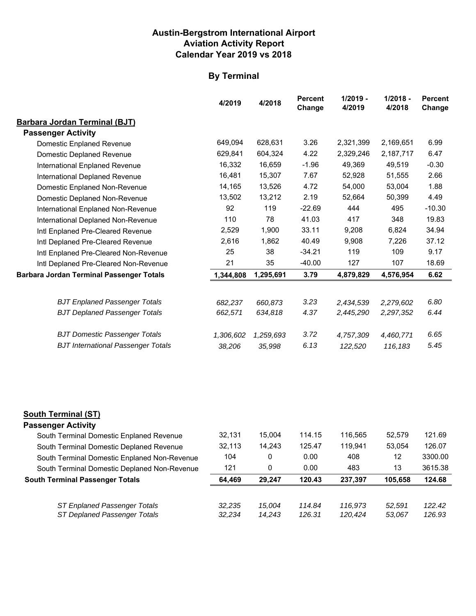## **Austin-Bergstrom International Airport Aviation Activity Report Calendar Year 2019 vs 2018**

## **By Terminal**

|                                                 | 4/2019    | 4/2018    | <b>Percent</b><br>Change | $1/2019 -$<br>4/2019 | $1/2018 -$<br>4/2018 | <b>Percent</b><br>Change |
|-------------------------------------------------|-----------|-----------|--------------------------|----------------------|----------------------|--------------------------|
| <b>Barbara Jordan Terminal (BJT)</b>            |           |           |                          |                      |                      |                          |
| <b>Passenger Activity</b>                       |           |           |                          |                      |                      |                          |
| Domestic Enplaned Revenue                       | 649,094   | 628,631   | 3.26                     | 2,321,399            | 2,169,651            | 6.99                     |
| Domestic Deplaned Revenue                       | 629,841   | 604,324   | 4.22                     | 2,329,246            | 2,187,717            | 6.47                     |
| International Enplaned Revenue                  | 16,332    | 16,659    | $-1.96$                  | 49,369               | 49,519               | $-0.30$                  |
| International Deplaned Revenue                  | 16,481    | 15,307    | 7.67                     | 52,928               | 51,555               | 2.66                     |
| Domestic Enplaned Non-Revenue                   | 14,165    | 13,526    | 4.72                     | 54,000               | 53,004               | 1.88                     |
| Domestic Deplaned Non-Revenue                   | 13,502    | 13,212    | 2.19                     | 52,664               | 50,399               | 4.49                     |
| International Enplaned Non-Revenue              | 92        | 119       | $-22.69$                 | 444                  | 495                  | $-10.30$                 |
| International Deplaned Non-Revenue              | 110       | 78        | 41.03                    | 417                  | 348                  | 19.83                    |
| Intl Enplaned Pre-Cleared Revenue               | 2,529     | 1,900     | 33.11                    | 9,208                | 6,824                | 34.94                    |
| Intl Deplaned Pre-Cleared Revenue               | 2,616     | 1,862     | 40.49                    | 9,908                | 7,226                | 37.12                    |
| Intl Enplaned Pre-Cleared Non-Revenue           | 25        | 38        | $-34.21$                 | 119                  | 109                  | 9.17                     |
| Intl Deplaned Pre-Cleared Non-Revenue           | 21        | 35        | $-40.00$                 | 127                  | 107                  | 18.69                    |
| <b>Barbara Jordan Terminal Passenger Totals</b> | 1,344,808 | 1,295,691 | 3.79                     | 4,879,829            | 4,576,954            | 6.62                     |
| <b>BJT Enplaned Passenger Totals</b>            | 682,237   | 660,873   | 3.23                     | 2,434,539            | 2,279,602            | 6.80                     |
| <b>BJT Deplaned Passenger Totals</b>            | 662,571   | 634,818   | 4.37                     | 2,445,290            | 2,297,352            | 6.44                     |
| <b>BJT Domestic Passenger Totals</b>            | 1,306,602 | 1,259,693 | 3.72                     | 4,757,309            | 4,460,771            | 6.65                     |
| <b>BJT International Passenger Totals</b>       | 38,206    | 35,998    | 6.13                     | 122,520              | 116,183              | 5.45                     |

#### **South Terminal (ST)**

| <b>Passenger Activity</b>                    |        |        |        |         |         |         |
|----------------------------------------------|--------|--------|--------|---------|---------|---------|
| South Terminal Domestic Enplaned Revenue     | 32.131 | 15.004 | 114.15 | 116.565 | 52.579  | 121.69  |
| South Terminal Domestic Deplaned Revenue     | 32.113 | 14.243 | 125.47 | 119.941 | 53.054  | 126.07  |
| South Terminal Domestic Enplaned Non-Revenue | 104    | 0      | 0.00   | 408     | 12      | 3300.00 |
| South Terminal Domestic Deplaned Non-Revenue | 121    | 0      | 0.00   | 483     | 13      | 3615.38 |
| <b>South Terminal Passenger Totals</b>       | 64.469 | 29.247 | 120.43 | 237.397 | 105.658 | 124.68  |
| ST Enplaned Passenger Totals                 | 32.235 | 15.004 | 114.84 | 116.973 | 52.591  | 122.42  |
| ST Deplaned Passenger Totals                 | 32.234 | 14.243 | 126.31 | 120.424 | 53,067  | 126.93  |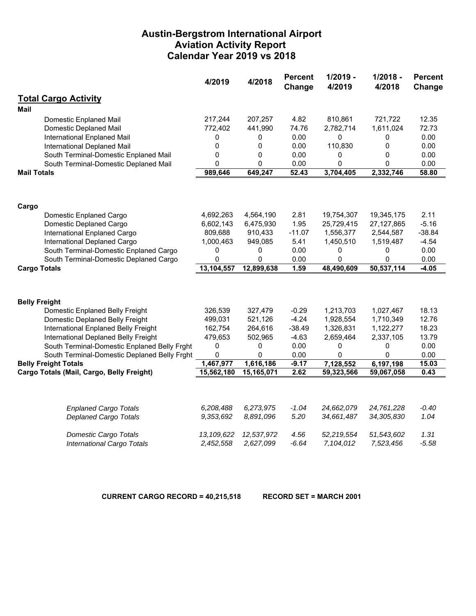## **Austin-Bergstrom International Airport Aviation Activity Report Calendar Year 2019 vs 2018**

|                                              | 4/2019       | 4/2018     | <b>Percent</b><br>Change | $1/2019 -$<br>4/2019 | $1/2018 -$<br>4/2018 | <b>Percent</b><br>Change |
|----------------------------------------------|--------------|------------|--------------------------|----------------------|----------------------|--------------------------|
| <b>Total Cargo Activity</b>                  |              |            |                          |                      |                      |                          |
| <b>Mail</b>                                  |              |            |                          |                      |                      |                          |
| <b>Domestic Enplaned Mail</b>                | 217,244      | 207,257    | 4.82                     | 810,861              | 721,722              | 12.35                    |
| Domestic Deplaned Mail                       | 772,402      | 441,990    | 74.76                    | 2,782,714            | 1,611,024            | 72.73                    |
| International Enplaned Mail                  | 0            | 0          | 0.00                     | 0                    | 0                    | 0.00                     |
| International Deplaned Mail                  | 0            | 0          | 0.00                     | 110,830              | 0                    | 0.00                     |
| South Terminal-Domestic Enplaned Mail        | 0            | 0          | 0.00                     | 0                    | 0                    | 0.00                     |
| South Terminal-Domestic Deplaned Mail        | 0            | 0          | 0.00                     | 0                    | 0                    | 0.00                     |
| <b>Mail Totals</b>                           | 989,646      | 649,247    | 52.43                    | 3,704,405            | 2,332,746            | 58.80                    |
|                                              |              |            |                          |                      |                      |                          |
| Cargo                                        |              |            |                          |                      |                      |                          |
| Domestic Enplaned Cargo                      | 4,692,263    | 4,564,190  | 2.81                     | 19,754,307           | 19,345,175           | 2.11                     |
| Domestic Deplaned Cargo                      | 6,602,143    | 6,475,930  | 1.95                     | 25,729,415           | 27, 127, 865         | $-5.16$                  |
| International Enplaned Cargo                 | 809,688      | 910,433    | $-11.07$                 | 1,556,377            | 2,544,587            | $-38.84$                 |
| International Deplaned Cargo                 | 1,000,463    | 949,085    | 5.41                     | 1,450,510            | 1,519,487            | $-4.54$                  |
| South Terminal-Domestic Enplaned Cargo       | 0            | 0          | 0.00                     | 0                    | 0                    | 0.00                     |
| South Terminal-Domestic Deplaned Cargo       | 0            | 0          | 0.00                     | 0                    | 0                    | 0.00                     |
| <b>Cargo Totals</b>                          | 13,104,557   | 12,899,638 | 1.59                     | 48,490,609           | 50,537,114           | $-4.05$                  |
|                                              |              |            |                          |                      |                      |                          |
| <b>Belly Freight</b>                         |              |            |                          |                      |                      |                          |
| Domestic Enplaned Belly Freight              | 326,539      | 327,479    | $-0.29$                  | 1,213,703            | 1,027,467            | 18.13                    |
| Domestic Deplaned Belly Freight              | 499,031      | 521,126    | $-4.24$                  | 1,928,554            | 1,710,349            | 12.76                    |
| International Enplaned Belly Freight         | 162,754      | 264,616    | $-38.49$                 | 1,326,831            | 1,122,277            | 18.23                    |
| International Deplaned Belly Freight         | 479,653      | 502,965    | $-4.63$                  | 2,659,464            | 2,337,105            | 13.79                    |
| South Terminal-Domestic Enplaned Belly Frght | 0            | 0          | 0.00                     | 0                    | 0                    | 0.00                     |
| South Terminal-Domestic Deplaned Belly Frght | 0            | 0          | 0.00                     | 0                    | 0                    | 0.00                     |
| <b>Belly Freight Totals</b>                  | 1,467,977    | 1,616,186  | $-9.17$                  | 7,128,552            | 6,197,198            | 15.03                    |
| Cargo Totals (Mail, Cargo, Belly Freight)    | 15,562,180   | 15,165,071 | 2.62                     | 59,323,566           | 59,067,058           | 0.43                     |
|                                              |              |            |                          |                      |                      |                          |
| <b>Enplaned Cargo Totals</b>                 | 6,208,488    | 6,273,975  | $-1.04$                  | 24,662,079           | 24,761,228           | $-0.40$                  |
| <b>Deplaned Cargo Totals</b>                 | 9,353,692    | 8,891,096  | 5.20                     | 34,661,487           | 34,305,830           | 1.04                     |
| <b>Domestic Cargo Totals</b>                 | 13, 109, 622 | 12,537,972 | 4.56                     | 52,219,554           | 51,543,602           | 1.31                     |
| <b>International Cargo Totals</b>            | 2,452,558    | 2,627,099  | $-6.64$                  | 7,104,012            | 7,523,456            | $-5.58$                  |

**CURRENT CARGO RECORD = 40,215,518 RECORD SET = MARCH 2001**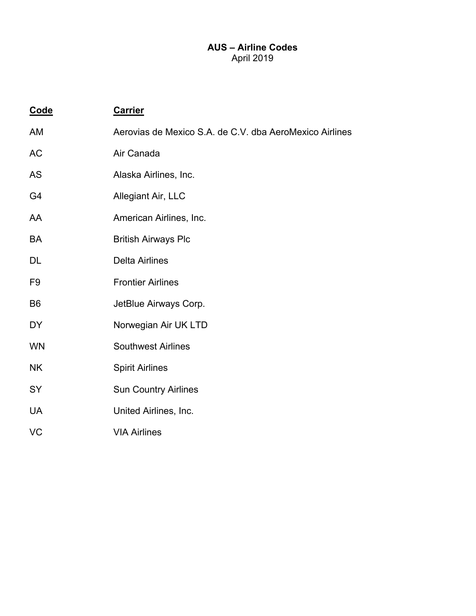## **AUS – Airline Codes**  April 2019

| Code           | <b>Carrier</b>                                          |
|----------------|---------------------------------------------------------|
| AM             | Aerovias de Mexico S.A. de C.V. dba AeroMexico Airlines |
| <b>AC</b>      | Air Canada                                              |
| <b>AS</b>      | Alaska Airlines, Inc.                                   |
| G <sub>4</sub> | Allegiant Air, LLC                                      |
| AA             | American Airlines, Inc.                                 |
| <b>BA</b>      | <b>British Airways Plc</b>                              |
| DL             | <b>Delta Airlines</b>                                   |
| F <sub>9</sub> | <b>Frontier Airlines</b>                                |
| B <sub>6</sub> | JetBlue Airways Corp.                                   |
| <b>DY</b>      | Norwegian Air UK LTD                                    |
| <b>WN</b>      | <b>Southwest Airlines</b>                               |
| <b>NK</b>      | <b>Spirit Airlines</b>                                  |
| <b>SY</b>      | <b>Sun Country Airlines</b>                             |
| <b>UA</b>      | United Airlines, Inc.                                   |
| <b>VC</b>      | <b>VIA Airlines</b>                                     |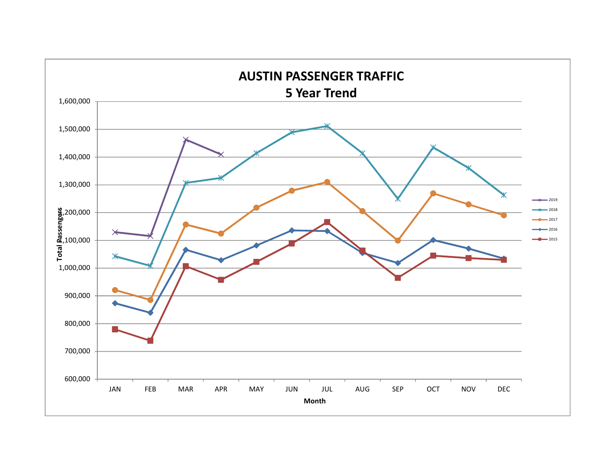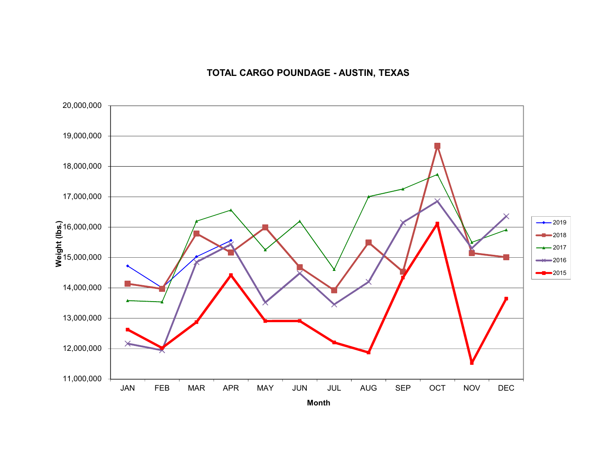## **TOTAL CARGO POUNDAGE - AUSTIN, TEXAS**

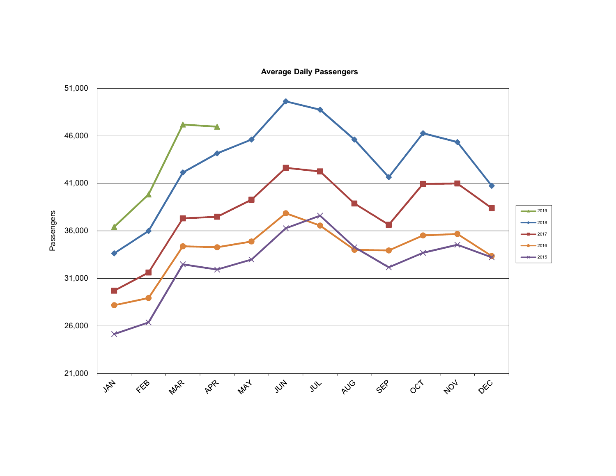**Average Daily Passengers**

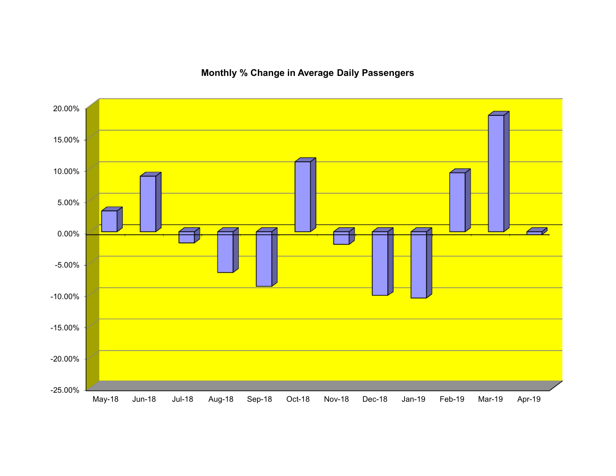20.00% 15.00%10.00% 5.00%  $\overline{\smash{\sim}}$ 0.00% -5.00% -10.00% -15.00% -20.00% -25.00%

**Monthly % Change in Average Daily Passengers**

May-18 Jun-18 Jul-18 Aug-18 Sep-18 Oct-18 Nov-18 Dec-18 Jan-19 Feb-19 Mar-19 Apr-19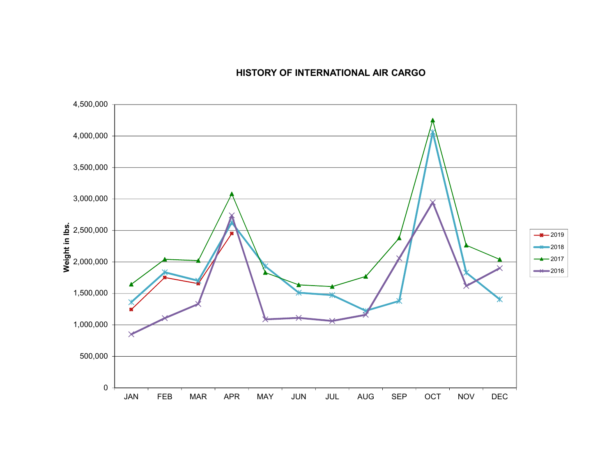## **HISTORY OF INTERNATIONAL AIR CARGO**

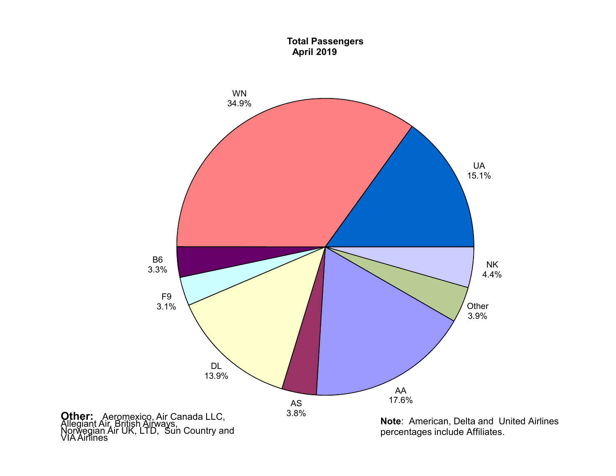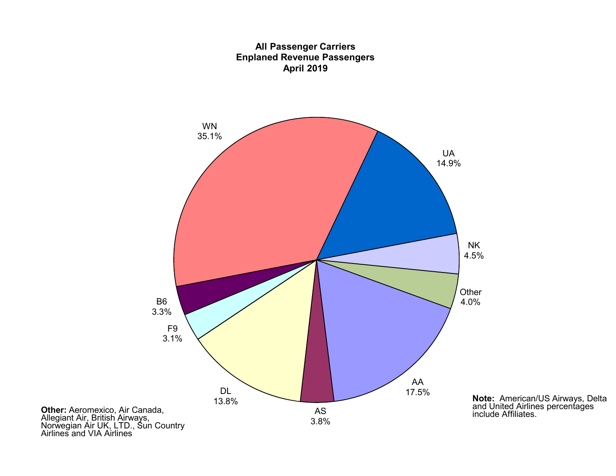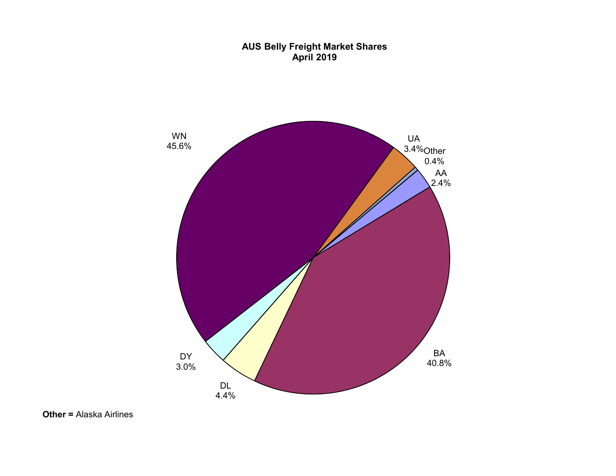#### **AUS Belly Freight Market Shares April 2019**

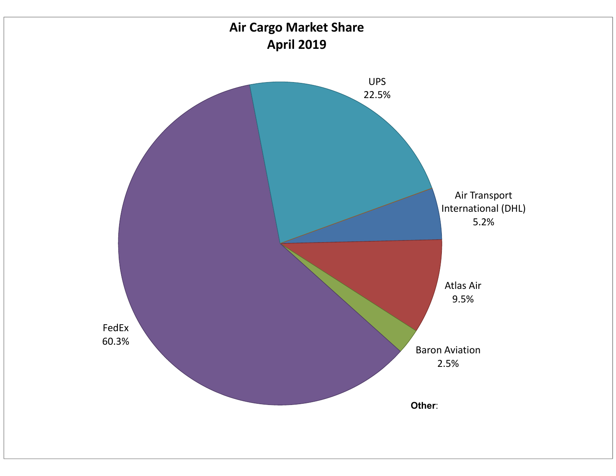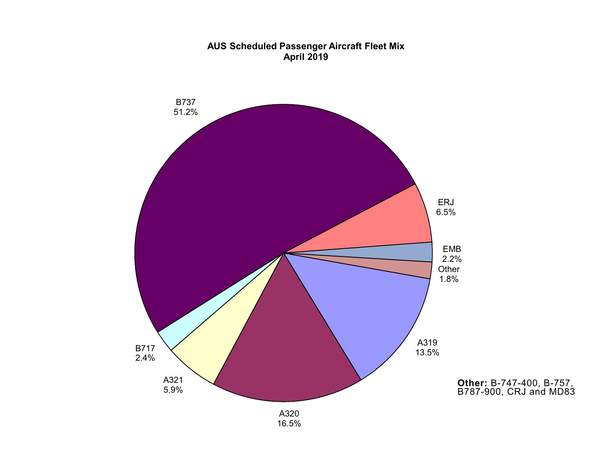

## **AUS Scheduled Passenger Aircraft Fleet Mix April 2019**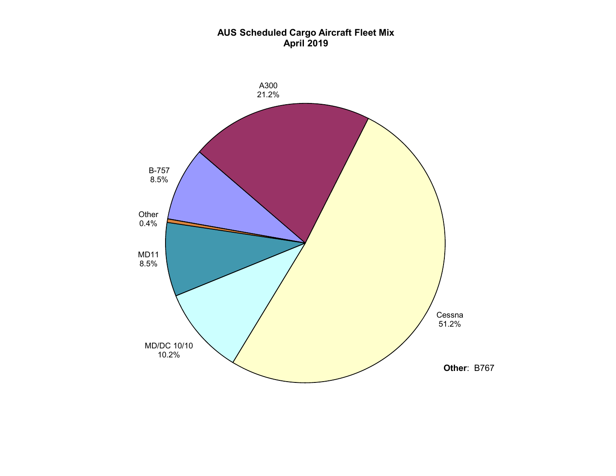#### **AUS Scheduled Cargo Aircraft Fleet Mix April 2019**

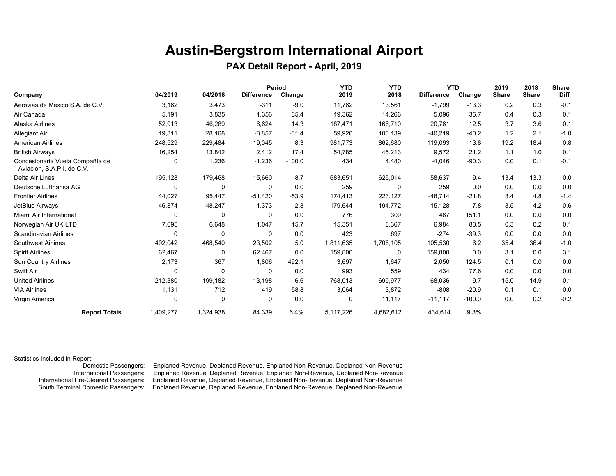## **Austin-Bergstrom International Airport**

 **PAX Detail Report - April, 2019** 

|                                                               |           |             |                   | Period   | <b>YTD</b> | <b>YTD</b> |                   | <b>YTD</b> | 2019         | 2018         | <b>Share</b> |
|---------------------------------------------------------------|-----------|-------------|-------------------|----------|------------|------------|-------------------|------------|--------------|--------------|--------------|
| Company                                                       | 04/2019   | 04/2018     | <b>Difference</b> | Change   | 2019       | 2018       | <b>Difference</b> | Change     | <b>Share</b> | <b>Share</b> | <b>Diff</b>  |
| Aerovias de Mexico S.A. de C.V.                               | 3,162     | 3,473       | $-311$            | $-9.0$   | 11,762     | 13,561     | $-1,799$          | $-13.3$    | 0.2          | 0.3          | $-0.1$       |
| Air Canada                                                    | 5,191     | 3,835       | 1,356             | 35.4     | 19,362     | 14,266     | 5,096             | 35.7       | 0.4          | 0.3          | 0.1          |
| Alaska Airlines                                               | 52,913    | 46,289      | 6,624             | 14.3     | 187.471    | 166,710    | 20,761            | 12.5       | 3.7          | 3.6          | 0.1          |
| Allegiant Air                                                 | 19,311    | 28,168      | $-8,857$          | $-31.4$  | 59,920     | 100,139    | $-40,219$         | $-40.2$    | 1.2          | 2.1          | $-1.0$       |
| <b>American Airlines</b>                                      | 248,529   | 229,484     | 19,045            | 8.3      | 981,773    | 862,680    | 119,093           | 13.8       | 19.2         | 18.4         | 0.8          |
| <b>British Airways</b>                                        | 16,254    | 13,842      | 2,412             | 17.4     | 54,785     | 45,213     | 9,572             | 21.2       | 1.1          | 1.0          | 0.1          |
| Concesionaria Vuela Compañía de<br>Aviación, S.A.P.I. de C.V. | 0         | 1,236       | $-1,236$          | $-100.0$ | 434        | 4,480      | $-4,046$          | $-90.3$    | 0.0          | 0.1          | $-0.1$       |
| Delta Air Lines                                               | 195,128   | 179,468     | 15,660            | 8.7      | 683,651    | 625,014    | 58,637            | 9.4        | 13.4         | 13.3         | 0.0          |
| Deutsche Lufthansa AG                                         | $\Omega$  | 0           | 0                 | 0.0      | 259        | $\Omega$   | 259               | 0.0        | 0.0          | 0.0          | 0.0          |
| <b>Frontier Airlines</b>                                      | 44,027    | 95,447      | $-51,420$         | $-53.9$  | 174,413    | 223,127    | $-48,714$         | $-21.8$    | 3.4          | 4.8          | $-1.4$       |
| JetBlue Airways                                               | 46,874    | 48,247      | $-1,373$          | $-2.8$   | 179,644    | 194,772    | $-15,128$         | $-7.8$     | 3.5          | 4.2          | $-0.6$       |
| Miami Air International                                       | $\Omega$  | 0           | 0                 | 0.0      | 776        | 309        | 467               | 151.1      | 0.0          | 0.0          | 0.0          |
| Norwegian Air UK LTD                                          | 7,695     | 6,648       | 1,047             | 15.7     | 15,351     | 8,367      | 6,984             | 83.5       | 0.3          | 0.2          | 0.1          |
| <b>Scandinavian Airlines</b>                                  | $\Omega$  | 0           | 0                 | 0.0      | 423        | 697        | $-274$            | $-39.3$    | 0.0          | 0.0          | 0.0          |
| <b>Southwest Airlines</b>                                     | 492,042   | 468,540     | 23,502            | 5.0      | 1,811,635  | 1,706,105  | 105,530           | 6.2        | 35.4         | 36.4         | $-1.0$       |
| <b>Spirit Airlines</b>                                        | 62,467    | 0           | 62,467            | 0.0      | 159,800    | 0          | 159,800           | 0.0        | 3.1          | 0.0          | 3.1          |
| Sun Country Airlines                                          | 2,173     | 367         | 1,806             | 492.1    | 3,697      | 1,647      | 2,050             | 124.5      | 0.1          | 0.0          | 0.0          |
| Swift Air                                                     | $\Omega$  | 0           | $\mathbf 0$       | 0.0      | 993        | 559        | 434               | 77.6       | 0.0          | 0.0          | 0.0          |
| <b>United Airlines</b>                                        | 212,380   | 199,182     | 13,198            | 6.6      | 768,013    | 699,977    | 68,036            | 9.7        | 15.0         | 14.9         | 0.1          |
| <b>VIA Airlines</b>                                           | 1,131     | 712         | 419               | 58.8     | 3,064      | 3,872      | $-808$            | $-20.9$    | 0.1          | 0.1          | 0.0          |
| Virgin America                                                | 0         | $\mathbf 0$ | 0                 | 0.0      | 0          | 11,117     | $-11,117$         | $-100.0$   | 0.0          | 0.2          | $-0.2$       |
| <b>Report Totals</b>                                          | 1,409,277 | 1,324,938   | 84,339            | 6.4%     | 5,117,226  | 4,682,612  | 434,614           | 9.3%       |              |              |              |

Statistics Included in Report:

Enplaned Revenue, Deplaned Revenue, Enplaned Non-Revenue, Deplaned Non-Revenue International Passengers: Enplaned Revenue, Deplaned Revenue, Enplaned Non-Revenue, Deplaned Non-Revenue Enplaned Revenue, Deplaned Revenue, Enplaned Non-Revenue, Deplaned Non-Revenue South Terminal Domestic Passengers: Enplaned Revenue, Deplaned Revenue, Enplaned Non-Revenue, Deplaned Non-Revenue